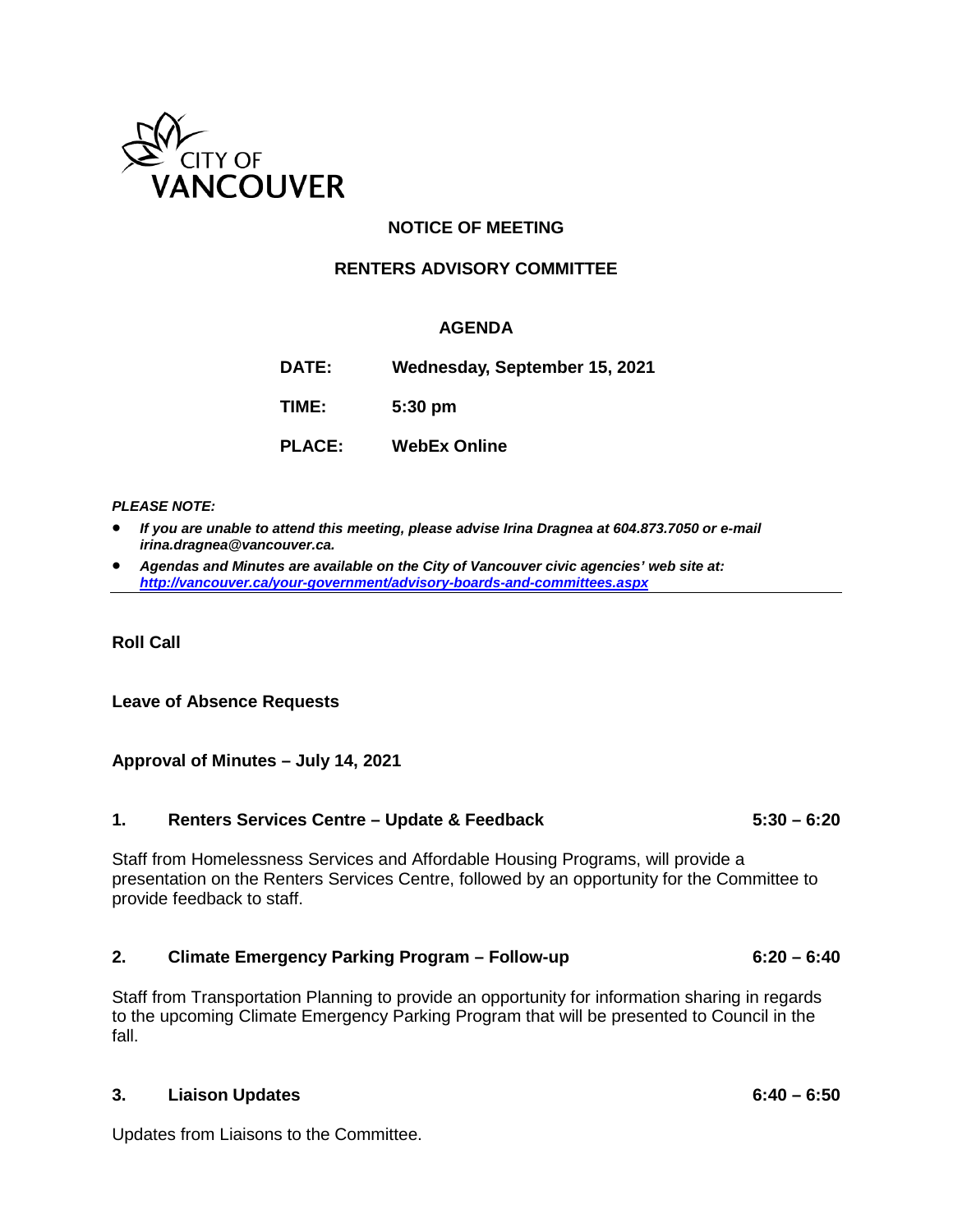

# **NOTICE OF MEETING**

## **RENTERS ADVISORY COMMITTEE**

### **AGENDA**

**DATE: Wednesday, September 15, 2021**

**TIME: 5:30 pm**

**PLACE: WebEx Online**

#### *PLEASE NOTE:*

- *If you are unable to attend this meeting, please advise Irina Dragnea at 604.873.7050 or e-mail irina.dragnea@vancouver.ca.*
- *Agendas and Minutes are available on the City of Vancouver civic agencies' web site at: <http://vancouver.ca/your-government/advisory-boards-and-committees.aspx>*

**Roll Call**

#### **Leave of Absence Requests**

#### **Approval of Minutes – July 14, 2021**

#### **1. Renters Services Centre – Update & Feedback 5:30 – 6:20**

Staff from Homelessness Services and Affordable Housing Programs, will provide a presentation on the Renters Services Centre, followed by an opportunity for the Committee to provide feedback to staff.

#### **2. Climate Emergency Parking Program – Follow-up 6:20 – 6:40**

Staff from Transportation Planning to provide an opportunity for information sharing in regards to the upcoming Climate Emergency Parking Program that will be presented to Council in the fall.

### **3. Liaison Updates 6:40 – 6:50**

Updates from Liaisons to the Committee.